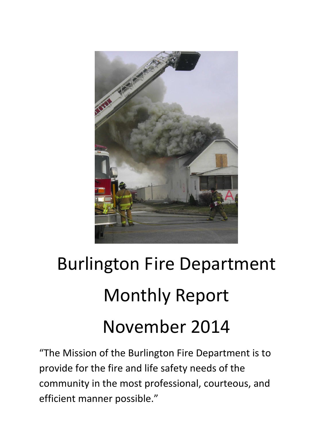

# Burlington Fire Department Monthly Report November 2014

"The Mission of the Burlington Fire Department is to provide for the fire and life safety needs of the community in the most professional, courteous, and efficient manner possible."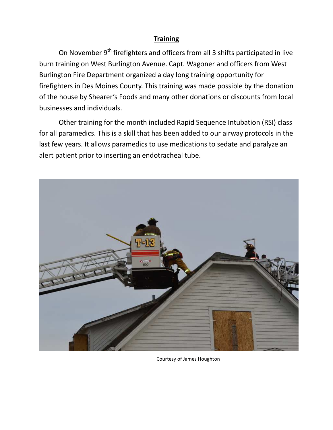## **Training**

On November  $9<sup>th</sup>$  firefighters and officers from all 3 shifts participated in live burn training on West Burlington Avenue. Capt. Wagoner and officers from West Burlington Fire Department organized a day long training opportunity for firefighters in Des Moines County. This training was made possible by the donation of the house by Shearer's Foods and many other donations or discounts from local businesses and individuals.

 Other training for the month included Rapid Sequence Intubation (RSI) class for all paramedics. This is a skill that has been added to our airway protocols in the last few years. It allows paramedics to use medications to sedate and paralyze an alert patient prior to inserting an endotracheal tube.



Courtesy of James Houghton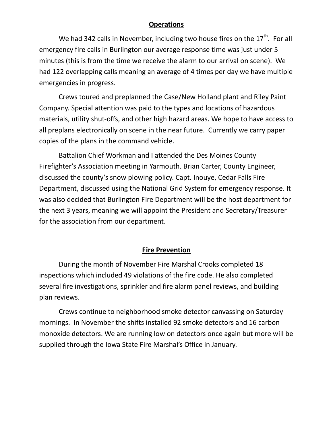#### **Operations**

We had 342 calls in November, including two house fires on the  $17<sup>th</sup>$ . For all emergency fire calls in Burlington our average response time was just under 5 minutes (this is from the time we receive the alarm to our arrival on scene). We had 122 overlapping calls meaning an average of 4 times per day we have multiple emergencies in progress.

 Crews toured and preplanned the Case/New Holland plant and Riley Paint Company. Special attention was paid to the types and locations of hazardous materials, utility shut-offs, and other high hazard areas. We hope to have access to all preplans electronically on scene in the near future. Currently we carry paper copies of the plans in the command vehicle.

 Battalion Chief Workman and I attended the Des Moines County Firefighter's Association meeting in Yarmouth. Brian Carter, County Engineer, discussed the county's snow plowing policy. Capt. Inouye, Cedar Falls Fire Department, discussed using the National Grid System for emergency response. It was also decided that Burlington Fire Department will be the host department for the next 3 years, meaning we will appoint the President and Secretary/Treasurer for the association from our department.

## **Fire Prevention**

 During the month of November Fire Marshal Crooks completed 18 inspections which included 49 violations of the fire code. He also completed several fire investigations, sprinkler and fire alarm panel reviews, and building plan reviews.

Crews continue to neighborhood smoke detector canvassing on Saturday mornings. In November the shifts installed 92 smoke detectors and 16 carbon monoxide detectors. We are running low on detectors once again but more will be supplied through the Iowa State Fire Marshal's Office in January.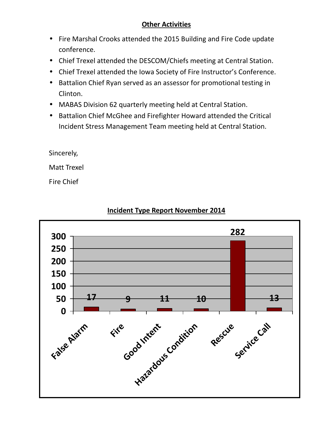## **Other Activities**

- Fire Marshal Crooks attended the 2015 Building and Fire Code update conference.
- Chief Trexel attended the DESCOM/Chiefs meeting at Central Station.
- Chief Trexel attended the Iowa Society of Fire Instructor's Conference.
- Battalion Chief Ryan served as an assessor for promotional testing in Clinton.
- MABAS Division 62 quarterly meeting held at Central Station.
- Battalion Chief McGhee and Firefighter Howard attended the Critical Incident Stress Management Team meeting held at Central Station.

Sincerely,

Matt Trexel

Fire Chief



# **Incident Type Report November 2014**